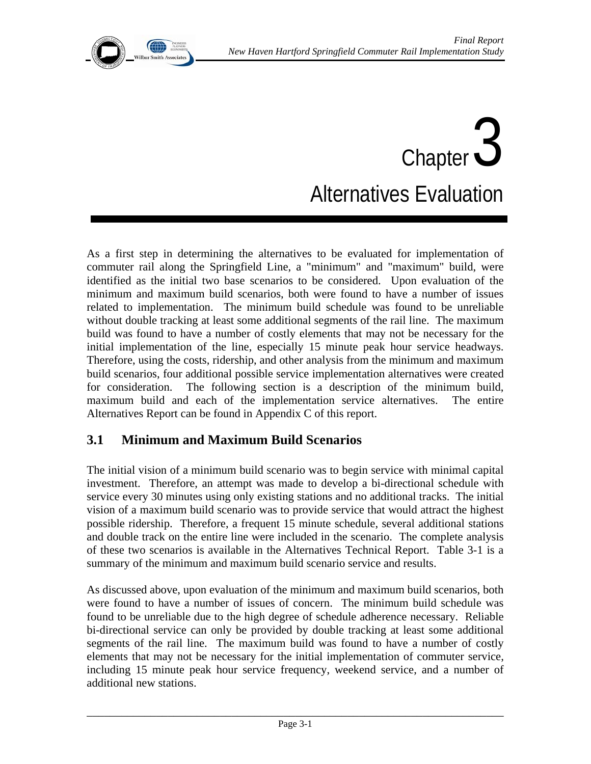# Chapter 3 Alternatives Evaluation

As a first step in determining the alternatives to be evaluated for implementation of commuter rail along the Springfield Line, a "minimum" and "maximum" build, were identified as the initial two base scenarios to be considered. Upon evaluation of the minimum and maximum build scenarios, both were found to have a number of issues related to implementation. The minimum build schedule was found to be unreliable without double tracking at least some additional segments of the rail line. The maximum build was found to have a number of costly elements that may not be necessary for the initial implementation of the line, especially 15 minute peak hour service headways. Therefore, using the costs, ridership, and other analysis from the minimum and maximum build scenarios, four additional possible service implementation alternatives were created for consideration. The following section is a description of the minimum build, maximum build and each of the implementation service alternatives. The entire Alternatives Report can be found in Appendix C of this report.

# **3.1 Minimum and Maximum Build Scenarios**

The initial vision of a minimum build scenario was to begin service with minimal capital investment. Therefore, an attempt was made to develop a bi-directional schedule with service every 30 minutes using only existing stations and no additional tracks. The initial vision of a maximum build scenario was to provide service that would attract the highest possible ridership. Therefore, a frequent 15 minute schedule, several additional stations and double track on the entire line were included in the scenario. The complete analysis of these two scenarios is available in the Alternatives Technical Report. Table 3-1 is a summary of the minimum and maximum build scenario service and results.

As discussed above, upon evaluation of the minimum and maximum build scenarios, both were found to have a number of issues of concern. The minimum build schedule was found to be unreliable due to the high degree of schedule adherence necessary. Reliable bi-directional service can only be provided by double tracking at least some additional segments of the rail line. The maximum build was found to have a number of costly elements that may not be necessary for the initial implementation of commuter service, including 15 minute peak hour service frequency, weekend service, and a number of additional new stations.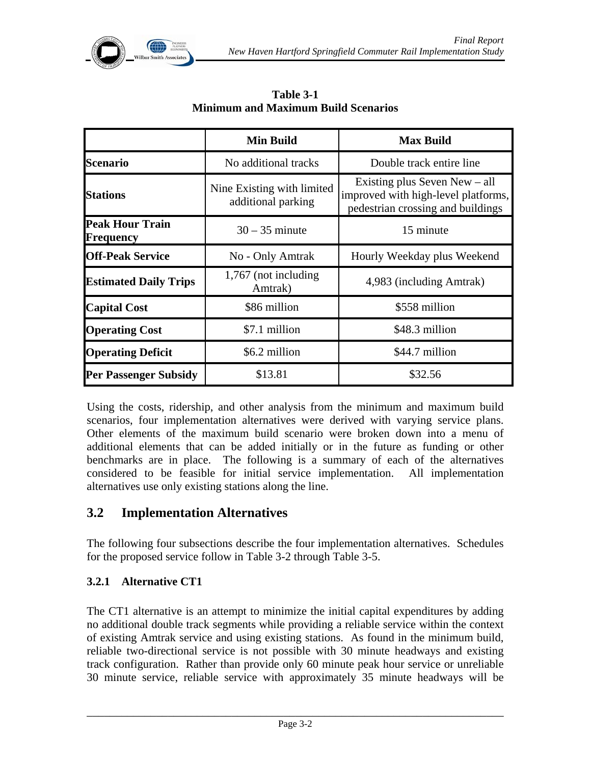

|                                     | <b>Min Build</b>                                 | <b>Max Build</b>                                                                                            |
|-------------------------------------|--------------------------------------------------|-------------------------------------------------------------------------------------------------------------|
| Scenario                            | No additional tracks                             | Double track entire line                                                                                    |
| <b>Stations</b>                     | Nine Existing with limited<br>additional parking | Existing plus Seven New $-$ all<br>improved with high-level platforms,<br>pedestrian crossing and buildings |
| <b>Peak Hour Train</b><br>Frequency | $30 - 35$ minute                                 | 15 minute                                                                                                   |
| <b>Off-Peak Service</b>             | No - Only Amtrak                                 | Hourly Weekday plus Weekend                                                                                 |
| <b>Estimated Daily Trips</b>        | 1,767 (not including<br>Amtrak)                  | 4,983 (including Amtrak)                                                                                    |
| <b>Capital Cost</b>                 | \$86 million                                     | \$558 million                                                                                               |
| <b>Operating Cost</b>               | \$7.1 million                                    | \$48.3 million                                                                                              |
| <b>Operating Deficit</b>            | \$6.2 million                                    | \$44.7 million                                                                                              |
| <b>Per Passenger Subsidy</b>        | \$13.81                                          | \$32.56                                                                                                     |

**Table 3-1 Minimum and Maximum Build Scenarios** 

Using the costs, ridership, and other analysis from the minimum and maximum build scenarios, four implementation alternatives were derived with varying service plans. Other elements of the maximum build scenario were broken down into a menu of additional elements that can be added initially or in the future as funding or other benchmarks are in place. The following is a summary of each of the alternatives considered to be feasible for initial service implementation. All implementation alternatives use only existing stations along the line.

# **3.2 Implementation Alternatives**

The following four subsections describe the four implementation alternatives. Schedules for the proposed service follow in Table 3-2 through Table 3-5.

### **3.2.1 Alternative CT1**

The CT1 alternative is an attempt to minimize the initial capital expenditures by adding no additional double track segments while providing a reliable service within the context of existing Amtrak service and using existing stations. As found in the minimum build, reliable two-directional service is not possible with 30 minute headways and existing track configuration. Rather than provide only 60 minute peak hour service or unreliable 30 minute service, reliable service with approximately 35 minute headways will be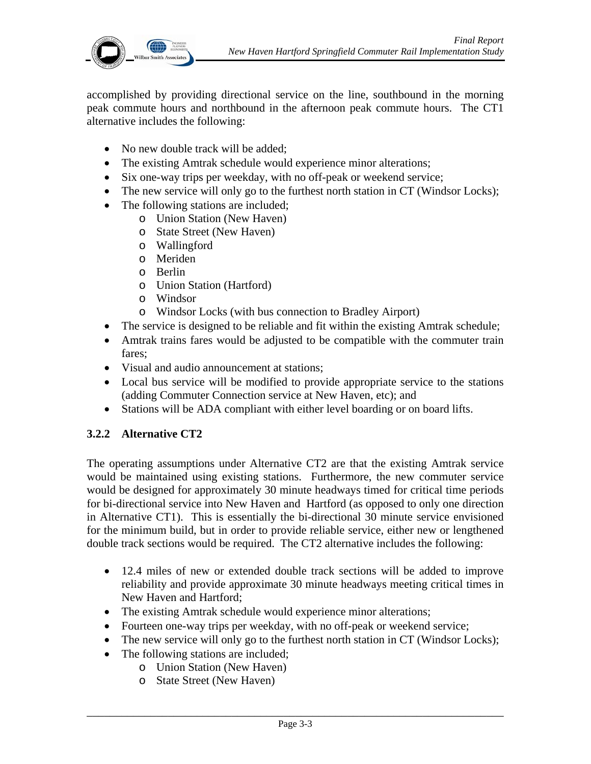

accomplished by providing directional service on the line, southbound in the morning peak commute hours and northbound in the afternoon peak commute hours. The CT1 alternative includes the following:

- No new double track will be added;
- The existing Amtrak schedule would experience minor alterations;
- Six one-way trips per weekday, with no off-peak or weekend service;
- The new service will only go to the furthest north station in CT (Windsor Locks);
- The following stations are included;
	- o Union Station (New Haven)
		- o State Street (New Haven)
		- o Wallingford
		- o Meriden
		- o Berlin
		- o Union Station (Hartford)
		- o Windsor
		- o Windsor Locks (with bus connection to Bradley Airport)
- The service is designed to be reliable and fit within the existing Amtrak schedule;
- Amtrak trains fares would be adjusted to be compatible with the commuter train fares;
- Visual and audio announcement at stations;
- Local bus service will be modified to provide appropriate service to the stations (adding Commuter Connection service at New Haven, etc); and
- Stations will be ADA compliant with either level boarding or on board lifts.

#### **3.2.2 Alternative CT2**

The operating assumptions under Alternative CT2 are that the existing Amtrak service would be maintained using existing stations. Furthermore, the new commuter service would be designed for approximately 30 minute headways timed for critical time periods for bi-directional service into New Haven and Hartford (as opposed to only one direction in Alternative CT1). This is essentially the bi-directional 30 minute service envisioned for the minimum build, but in order to provide reliable service, either new or lengthened double track sections would be required. The CT2 alternative includes the following:

- 12.4 miles of new or extended double track sections will be added to improve reliability and provide approximate 30 minute headways meeting critical times in New Haven and Hartford;
- The existing Amtrak schedule would experience minor alterations;
- Fourteen one-way trips per weekday, with no off-peak or weekend service;
- The new service will only go to the furthest north station in CT (Windsor Locks);
- The following stations are included;
	- o Union Station (New Haven)
	- o State Street (New Haven)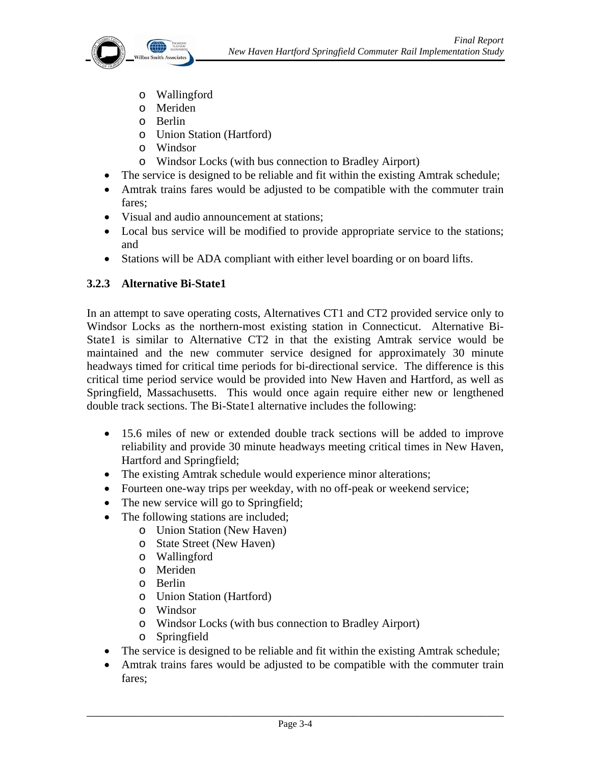

- o Wallingford
- o Meriden
- o Berlin
- o Union Station (Hartford)
- o Windsor
- o Windsor Locks (with bus connection to Bradley Airport)
- The service is designed to be reliable and fit within the existing Amtrak schedule;
- Amtrak trains fares would be adjusted to be compatible with the commuter train fares;
- Visual and audio announcement at stations;
- Local bus service will be modified to provide appropriate service to the stations; and
- Stations will be ADA compliant with either level boarding or on board lifts.

# **3.2.3 Alternative Bi-State1**

In an attempt to save operating costs, Alternatives CT1 and CT2 provided service only to Windsor Locks as the northern-most existing station in Connecticut. Alternative Bi-State1 is similar to Alternative CT2 in that the existing Amtrak service would be maintained and the new commuter service designed for approximately 30 minute headways timed for critical time periods for bi-directional service. The difference is this critical time period service would be provided into New Haven and Hartford, as well as Springfield, Massachusetts. This would once again require either new or lengthened double track sections. The Bi-State1 alternative includes the following:

- 15.6 miles of new or extended double track sections will be added to improve reliability and provide 30 minute headways meeting critical times in New Haven, Hartford and Springfield;
- The existing Amtrak schedule would experience minor alterations;
- Fourteen one-way trips per weekday, with no off-peak or weekend service;
- The new service will go to Springfield;
- The following stations are included;
	- o Union Station (New Haven)
	- o State Street (New Haven)
	- o Wallingford
	- o Meriden
	- o Berlin
	- o Union Station (Hartford)
	- o Windsor
	- o Windsor Locks (with bus connection to Bradley Airport)
	- o Springfield
- The service is designed to be reliable and fit within the existing Amtrak schedule;
- Amtrak trains fares would be adjusted to be compatible with the commuter train fares;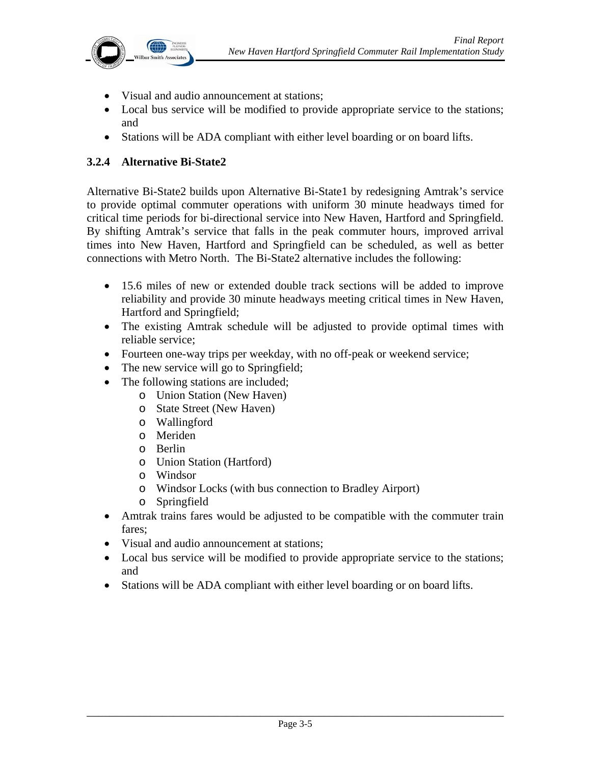

- Visual and audio announcement at stations;
- Local bus service will be modified to provide appropriate service to the stations; and
- Stations will be ADA compliant with either level boarding or on board lifts.

#### **3.2.4 Alternative Bi-State2**

Alternative Bi-State2 builds upon Alternative Bi-State1 by redesigning Amtrak's service to provide optimal commuter operations with uniform 30 minute headways timed for critical time periods for bi-directional service into New Haven, Hartford and Springfield. By shifting Amtrak's service that falls in the peak commuter hours, improved arrival times into New Haven, Hartford and Springfield can be scheduled, as well as better connections with Metro North. The Bi-State2 alternative includes the following:

- 15.6 miles of new or extended double track sections will be added to improve reliability and provide 30 minute headways meeting critical times in New Haven, Hartford and Springfield;
- The existing Amtrak schedule will be adjusted to provide optimal times with reliable service;
- Fourteen one-way trips per weekday, with no off-peak or weekend service;
- The new service will go to Springfield;
- The following stations are included;
	- o Union Station (New Haven)
	- o State Street (New Haven)
	- o Wallingford
	- o Meriden
	- o Berlin
	- o Union Station (Hartford)
	- o Windsor
	- o Windsor Locks (with bus connection to Bradley Airport)
	- o Springfield
- Amtrak trains fares would be adjusted to be compatible with the commuter train fares;
- Visual and audio announcement at stations;
- Local bus service will be modified to provide appropriate service to the stations; and
- Stations will be ADA compliant with either level boarding or on board lifts.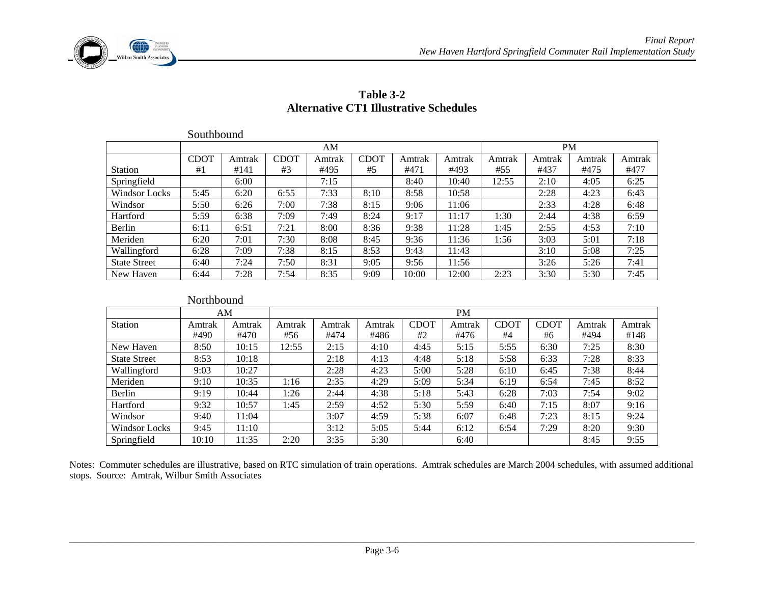

|                      | Southbound  |        |             |        |             |        |        |        |           |        |        |
|----------------------|-------------|--------|-------------|--------|-------------|--------|--------|--------|-----------|--------|--------|
|                      |             |        |             | AM     |             |        |        |        | <b>PM</b> |        |        |
|                      | <b>CDOT</b> | Amtrak | <b>CDOT</b> | Amtrak | <b>CDOT</b> | Amtrak | Amtrak | Amtrak | Amtrak    | Amtrak | Amtrak |
| <b>Station</b>       | #1          | #141   | #3          | #495   | #5          | #471   | #493   | #55    | #437      | #475   | #477   |
| Springfield          |             | 6:00   |             | 7:15   |             | 8:40   | 10:40  | 12:55  | 2:10      | 4:05   | 6:25   |
| <b>Windsor Locks</b> | 5:45        | 6:20   | 6:55        | 7:33   | 8:10        | 8:58   | 10:58  |        | 2:28      | 4:23   | 6:43   |
| Windsor              | 5:50        | 6:26   | 7:00        | 7:38   | 8:15        | 9:06   | 11:06  |        | 2:33      | 4:28   | 6:48   |
| Hartford             | 5:59        | 6:38   | 7:09        | 7:49   | 8:24        | 9:17   | 11:17  | 1:30   | 2:44      | 4:38   | 6:59   |
| Berlin               | 6:11        | 6:51   | 7:21        | 8:00   | 8:36        | 9:38   | 11:28  | 1:45   | 2:55      | 4:53   | 7:10   |
| Meriden              | 6:20        | 7:01   | 7:30        | 8:08   | 8:45        | 9:36   | 11:36  | 1:56   | 3:03      | 5:01   | 7:18   |
| Wallingford          | 6:28        | 7:09   | 7:38        | 8:15   | 8:53        | 9:43   | 11:43  |        | 3:10      | 5:08   | 7:25   |
| <b>State Street</b>  | 6:40        | 7:24   | 7:50        | 8:31   | 9:05        | 9:56   | 11:56  |        | 3:26      | 5:26   | 7:41   |
| New Haven            | 6:44        | 7:28   | 7:54        | 8:35   | 9:09        | 10:00  | 12:00  | 2:23   | 3:30      | 5:30   | 7:45   |

#### **Table 3-2 Alternative CT1 Illustrative Schedules**

|                     | Northbound |        |        |        |        |             |        |             |             |        |        |
|---------------------|------------|--------|--------|--------|--------|-------------|--------|-------------|-------------|--------|--------|
|                     |            | AΜ     |        |        |        |             | PM     |             |             |        |        |
| Station             | Amtrak     | Amtrak | Amtrak | Amtrak | Amtrak | <b>CDOT</b> | Amtrak | <b>CDOT</b> | <b>CDOT</b> | Amtrak | Amtrak |
|                     | #490       | #470   | #56    | #474   | #486   | #2          | #476   | #4          | #6          | #494   | #148   |
| New Haven           | 8:50       | 10:15  | 12:55  | 2:15   | 4:10   | 4:45        | 5:15   | 5:55        | 6:30        | 7:25   | 8:30   |
| <b>State Street</b> | 8:53       | 10:18  |        | 2:18   | 4:13   | 4:48        | 5:18   | 5:58        | 6:33        | 7:28   | 8:33   |
| Wallingford         | 9:03       | 10:27  |        | 2:28   | 4:23   | 5:00        | 5:28   | 6:10        | 6:45        | 7:38   | 8:44   |
| Meriden             | 9:10       | 10:35  | 1:16   | 2:35   | 4:29   | 5:09        | 5:34   | 6:19        | 6:54        | 7:45   | 8:52   |
| Berlin              | 9:19       | 10:44  | 1:26   | 2:44   | 4:38   | 5:18        | 5:43   | 6:28        | 7:03        | 7:54   | 9:02   |
| Hartford            | 9:32       | 10:57  | 1:45   | 2:59   | 4:52   | 5:30        | 5:59   | 6:40        | 7:15        | 8:07   | 9:16   |
| Windsor             | 9:40       | 11:04  |        | 3:07   | 4:59   | 5:38        | 6:07   | 6:48        | 7:23        | 8:15   | 9:24   |
| Windsor Locks       | 9:45       | 11:10  |        | 3:12   | 5:05   | 5:44        | 6:12   | 6:54        | 7:29        | 8:20   | 9:30   |
| Springfield         | 10:10      | 11:35  | 2:20   | 3:35   | 5:30   |             | 6:40   |             |             | 8:45   | 9:55   |

Notes: Commuter schedules are illustrative, based on RTC simulation of train operations. Amtrak schedules are March 2004 schedules, with assumed additional stops. Source: Amtrak, Wilbur Smith Associates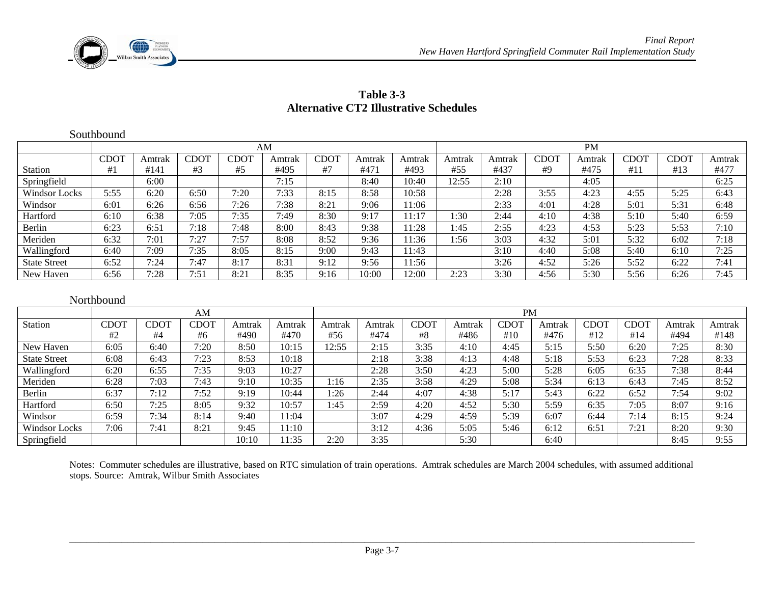

| Table 3-3                                     |
|-----------------------------------------------|
| <b>Alternative CT2 Illustrative Schedules</b> |

|                     | Southbound  |        |             |             |        |             |        |        |        |           |             |        |      |             |        |  |  |
|---------------------|-------------|--------|-------------|-------------|--------|-------------|--------|--------|--------|-----------|-------------|--------|------|-------------|--------|--|--|
|                     |             | AM     |             |             |        |             |        |        |        | <b>PM</b> |             |        |      |             |        |  |  |
|                     | <b>CDOT</b> | Amtrak | <b>CDOT</b> | <b>CDOT</b> | Amtrak | <b>CDOT</b> | Amtrak | Amtrak | Amtrak | Amtrak    | <b>CDOT</b> | Amtrak | CDOT | <b>CDOT</b> | Amtrak |  |  |
| Station             | #1          | #141   | #3          | #5          | #495   | #7          | #471   | #493   | #55    | #437      | #9          | #475   | #11  | #13         | #477   |  |  |
| Springfield         |             | 6:00   |             |             | 7:15   |             | 8:40   | 10:40  | 2:55   | 2:10      |             | 4:05   |      |             | 6:25   |  |  |
| Windsor Locks       | 5:55        | 6:20   | 6:50        | 7:20        | 7:33   | 8:15        | 8:58   | 10:58  |        | 2:28      | 3:55        | 4:23   | 4:55 | 5:25        | 6:43   |  |  |
| Windsor             | 6:01        | 6:26   | 6:56        | 7:26        | 7:38   | 8:21        | 9:06   | 1:06   |        | 2:33      | 4:01        | 4:28   | 5:01 | 5:31        | 6:48   |  |  |
| Hartford            | 6:10        | 6:38   | 7:05        | 7:35        | 7:49   | 8:30        | 9:17   | 11:17  | :30    | 2:44      | 4:10        | 4:38   | 5:10 | 5:40        | 6:59   |  |  |
| Berlin              | 6:23        | 6:51   | 7:18        | 7:48        | 8:00   | 8:43        | 9:38   | 11:28  | :45    | 2:55      | 4:23        | 4:53   | 5:23 | 5:53        | 7:10   |  |  |
| Meriden             | 6:32        | 7:01   | 7:27        | 7:57        | 8:08   | 8:52        | 9:36   | 11:36  | 1:56   | 3:03      | 4:32        | 5:01   | 5:32 | 6:02        | 7:18   |  |  |
| Wallingford         | 6:40        | 7:09   | 7:35        | 8:05        | 8:15   | 9:00        | 9:43   | 11:43  |        | 3:10      | 4:40        | 5:08   | 5:40 | 6:10        | 7:25   |  |  |
| <b>State Street</b> | 6:52        | 7:24   | 7:47        | 8:17        | 8:31   | 9:12        | 9:56   | 11:56  |        | 3:26      | 4:52        | 5:26   | 5:52 | 6:22        | 7:41   |  |  |
| New Haven           | 6:56        | 7:28   | 7:51        | 8:21        | 8:35   | 9:16        | 10:00  | 12:00  | 2:23   | 3:30      | 4:56        | 5:30   | 5:56 | 6:26        | 7:45   |  |  |

#### Northbound

|                      | AM              |      |      |        |        | <b>PM</b> |        |      |        |      |        |      |      |        |        |
|----------------------|-----------------|------|------|--------|--------|-----------|--------|------|--------|------|--------|------|------|--------|--------|
| <b>Station</b>       | CD <sub>O</sub> | CDOT | CDOT | Amtrak | Amtrak | Amtrak    | Amtrak | CDO' | Amtrak | CDOT | Amtrak | CDO. | CDO' | Amtrak | Amtrak |
|                      | #2              | #4   | #6   | #490   | #470   | #56       | #474   | #8   | #486   | #10  | #476   | #12  | #14  | #494   | #148   |
| New Haven            | 6:05            | 6:40 | 7:20 | 8:50   | 10:15  | .2:55     | 2:15   | 3:35 | 4:10   | 4:45 | 5:15   | 5:50 | 6:20 | 7:25   | 8:30   |
| <b>State Street</b>  | 6:08            | 6:43 | 7:23 | 8:53   | 10:18  |           | 2:18   | 3:38 | 4:13   | 4:48 | 5:18   | 5:53 | 6:23 | 7:28   | 8:33   |
| Wallingford          | 6:20            | 6:55 | 7:35 | 9:03   | 10:27  |           | 2:28   | 3:50 | 4:23   | 5:00 | 5:28   | 6:05 | 6:35 | 7:38   | 8:44   |
| Meriden              | 6:28            | 7:03 | 7:43 | 9:10   | 10:35  | 1:16      | 2:35   | 3:58 | 4:29   | 5:08 | 5:34   | 6:13 | 6:43 | 7:45   | 8:52   |
| Berlin               | 6:37            | 7:12 | 7:52 | 9:19   | 10:44  | :26       | 2:44   | 4:07 | 4:38   | 5:17 | 5:43   | 6:22 | 6:52 | 7:54   | 9:02   |
| Hartford             | 6:50            | 7:25 | 8:05 | 9:32   | 10:57  | 1:45      | 2:59   | 4:20 | 4:52   | 5:30 | 5:59   | 6:35 | 7:05 | 8:07   | 9:16   |
| Windsor              | 6:59            | 7:34 | 8:14 | 9:40   | 11:04  |           | 3:07   | 4:29 | 4:59   | 5:39 | 6:07   | 6:44 | 7:14 | 8:15   | 9:24   |
| <b>Windsor Locks</b> | 7:06            | 7:4. | 8:21 | 9:45   | 11:10  |           | 3:12   | 4:36 | 5:05   | 5:46 | 6:12   | 6:5  | 7:21 | 8:20   | 9:30   |
| Springfield          |                 |      |      | 10:10  | 1:35   | 2:20      | 3:35   |      | 5:30   |      | 6:40   |      |      | 8:45   | 9:55   |

Notes: Commuter schedules are illustrative, based on RTC simulation of train operations. Amtrak schedules are March 2004 schedules, with assumed additional stops. Source: Amtrak, Wilbur Smith Associates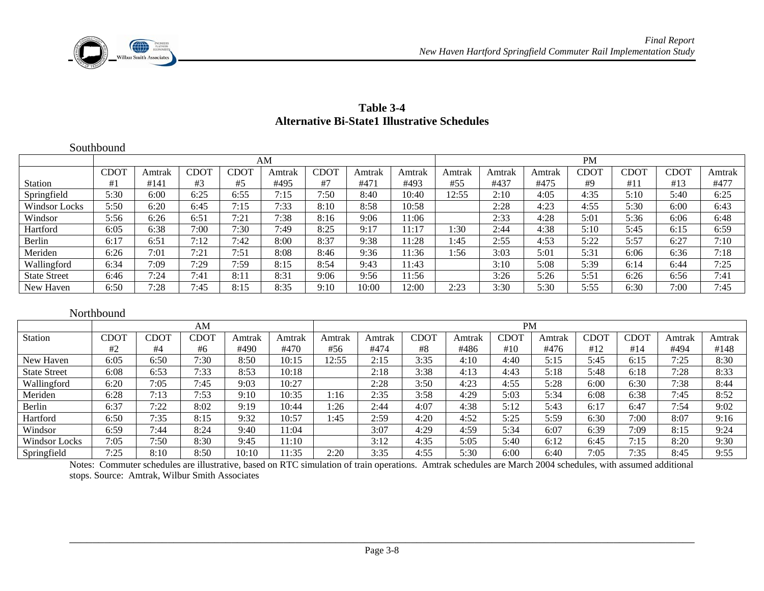

|                      | Southbound  |        |      |             |        |      |        |        |           |        |        |             |      |      |        |  |
|----------------------|-------------|--------|------|-------------|--------|------|--------|--------|-----------|--------|--------|-------------|------|------|--------|--|
|                      |             |        |      |             | AM     |      |        |        | <b>PM</b> |        |        |             |      |      |        |  |
|                      | <b>CDOT</b> | Amtrak | CDOT | <b>CDOT</b> | Amtrak | CDOT | Amtrak | Amtrak | Amtrak    | Amtrak | Amtrak | <b>CDOT</b> | CDOT | CDOT | Amtrak |  |
| <b>Station</b>       | #1          | #141   | #3   | #5          | #495   | #7   | #471   | #493   | #55       | #437   | #475   | #9          | #11  | #13  | #477   |  |
| Springfield          | 5:30        | 6:00   | 6:25 | 6:55        | 7:15   | 7:50 | 8:40   | 10:40  | 12:55     | 2:10   | 4:05   | 4:35        | 5:10 | 5:40 | 6:25   |  |
| <b>Windsor Locks</b> | 5:50        | 6:20   | 6:45 | 7:15        | 7:33   | 8:10 | 8:58   | 10:58  |           | 2:28   | 4:23   | 4:55        | 5:30 | 6:00 | 6:43   |  |
| Windsor              | 5:56        | 6:26   | 6:51 | 7:21        | 7:38   | 8:16 | 9:06   | 1:06   |           | 2:33   | 4:28   | 5:01        | 5:36 | 6:06 | 6:48   |  |
| Hartford             | 6:05        | 6:38   | 7:00 | 7:30        | 7:49   | 8:25 | 9:17   | 1:17   | :30       | 2:44   | 4:38   | 5:10        | 5:45 | 6:15 | 6:59   |  |
| Berlin               | 6:17        | 6:51   | 7:12 | 7:42        | 8:00   | 8:37 | 9:38   | 1:28   | 1:45      | 2:55   | 4:53   | 5:22        | 5:57 | 6:27 | 7:10   |  |
| Meriden              | 6:26        | 7:01   | 7:21 | 7:51        | 8:08   | 8:46 | 9:36   | 1:36   | :56       | 3:03   | 5:01   | 5:31        | 6:06 | 6:36 | 7:18   |  |
| Wallingford          | 6:34        | 7:09   | 7:29 | 7:59        | 8:15   | 8:54 | 9:43   | 11:43  |           | 3:10   | 5:08   | 5:39        | 6:14 | 6:44 | 7:25   |  |
| <b>State Street</b>  | 6:46        | 7:24   | 7:41 | 8:11        | 8:31   | 9:06 | 9:56   | 1:56   |           | 3:26   | 5:26   | 5:51        | 6:26 | 6:56 | 7:41   |  |
| New Haven            | 6:50        | 7:28   | 7:45 | 8:15        | 8:35   | 9:10 | 10:00  | 2:00   | 2:23      | 3:30   | 5:30   | 5:55        | 6:30 | 7:00 | 7:45   |  |

#### **Table 3-4 Alternative Bi-State1 Illustrative Schedules**

#### Northbound am and a series and a series of the series of the series of the series of the series of the series of the series of the series of the series of the series of the series of the series of the series of the series of the seri Station CDOT #2 CDOT #4 CDOT #6 Amtrak #490 Amtrak #470 Amtrak #56 Amtrak #474 CDOT #8 Amtrak #486 CDOT #10 Amtrak #476 CDOT #12 CDOT #14 Amtrak #494 Amtrak #148 New Haven | 6:05 | 6:50 | 7:30 | 8:50 | 10:15 | 12:55 | 2:15 | 3:35 | 4:10 | 4:40 | 5:15 | 5:45 | 6:15 | 7:25 | 8:30 8:30 State Street 1 6:08 1 6:53 1 7:33 1 8:53 1 10:18 1 1 2:18 1 3:38 1 4:13 1 4:43 1 5:18 1 5:48 1 6:18 1 7:28 1 8:33  $8:33$ Wallingford | 6:20 | 7:05 | 7:45 | 9:03 | 10:27 | | | 2:28 | 3:50 | 4:23 | 4:55 | 5:28 | 6:00 | 6:30 | 7:38 | 8:44 Meriden | 6:28 | 7:13 | 7:53 | 9:10 | 10:35 | 1:16 | 2:35 | 3:58 | 4:29 | 5:03 | 5:34 | 6:08 | 6:38 | 7:45 | 8:52 Berlin 6:37 7:22 8:02 9:19 10:44 1:26 2:44 4:07 4:38 5:12 5:43 6:17 6:47 7:54 9:02  $9:02$ Hartford 6:50 7:35 8:15 9:32 10:57 1:45 2:59 4:20 4:52 5:25 5:59 6:30 7:00 8:07 9:16 Windsor 6:59 7:44 8:24 9:40 11:04 3:07 4:29 4:59 5:34 6:07 6:39 7:09 8:15 9:24  $9:24$ Windsor Locks | 7:05 | 7:50 | 8:30 | 9:45 | 11:10 | | | | 3:12 | 4:35 | 5:05 | 5:40 | 6:12 | 6:45 | 7:15 | 8:20 | 9:30 Springfield | 7:25 | 8:10 | 8:50 | 10:10 | 11:35 | 2:20 | 3:35 | 4:55 | 5:30 | 6:00 | 6:40 | 7:05 | 7:35 | 8:45 | 9:55

Notes: Commuter schedules are illustrative, based on RTC simulation of train operations. Amtrak schedules are March 2004 schedules, with assumed additional stops. Source: Amtrak, Wilbur Smith Associates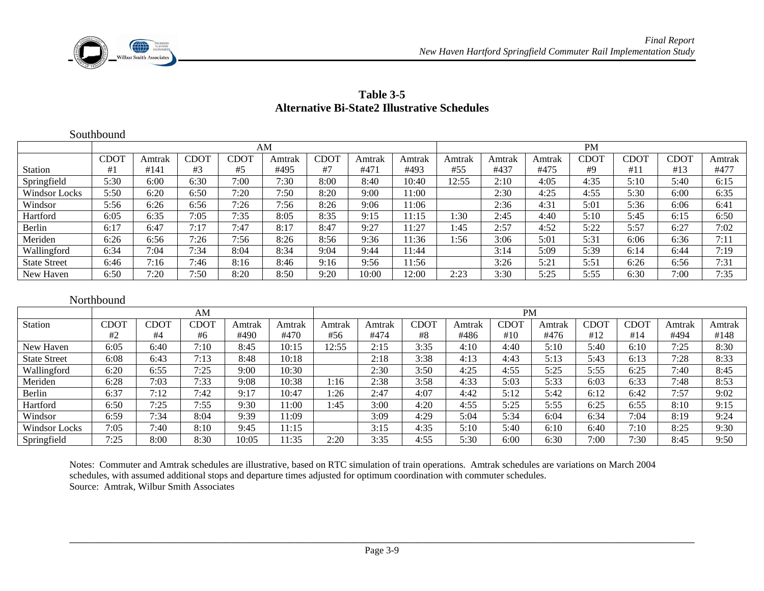

| Table 3-5                                    |
|----------------------------------------------|
| Alternative Bi-State2 Illustrative Schedules |

|                     | Southbound  |        |             |      |        |      |        |        |           |        |        |      |             |      |        |  |
|---------------------|-------------|--------|-------------|------|--------|------|--------|--------|-----------|--------|--------|------|-------------|------|--------|--|
|                     |             |        |             |      | AM     |      |        |        | <b>PM</b> |        |        |      |             |      |        |  |
|                     | <b>CDOT</b> | Amtrak | <b>CDOT</b> | CDOT | Amtrak | CDOT | Amtrak | Amtrak | Amtrak    | Amtrak | Amtrak | CDOT | <b>CDOT</b> | CDOT | Amtrak |  |
| Station             | #1          | #141   | #3          | #5   | #495   | #7   | #471   | #493   | #55       | #437   | #475   | #9   | #11         | #13  | #477   |  |
| Springfield         | 5:30        | 6:00   | 6:30        | 7:00 | 7:30   | 8:00 | 8:40   | 10:40  | 12:55     | 2:10   | 4:05   | 4:35 | 5:10        | 5:40 | 6:15   |  |
| Windsor Locks       | 5:50        | 6:20   | 6:50        | 7:20 | 7:50   | 8:20 | 9:00   | 11:00  |           | 2:30   | 4:25   | 4:55 | 5:30        | 6:00 | 6:35   |  |
| Windsor             | 5:56        | 6:26   | 6:56        | 7:26 | 7:56   | 8:26 | 9:06   | 11:06  |           | 2:36   | 4:31   | 5:01 | 5:36        | 6:06 | 6:41   |  |
| Hartford            | 6:05        | 6:35   | 7:05        | 7:35 | 8:05   | 8:35 | 9:15   | 11:15  | 1:30      | 2:45   | 4:40   | 5:10 | 5:45        | 6:15 | 6:50   |  |
| Berlin              | 6:17        | 6:47   | 7:17        | 7:47 | 8:17   | 8:47 | 9:27   | 11:27  | 1:45      | 2:57   | 4:52   | 5:22 | 5:57        | 6:27 | 7:02   |  |
| Meriden             | 6:26        | 6:56   | 7:26        | 7:56 | 8:26   | 8:56 | 9:36   | 11:36  | 1:56      | 3:06   | 5:01   | 5:31 | 6:06        | 6:36 | 7:11   |  |
| Wallingford         | 6:34        | 7:04   | 7:34        | 8:04 | 8:34   | 9:04 | 9:44   | 11:44  |           | 3:14   | 5:09   | 5:39 | 6:14        | 6:44 | 7:19   |  |
| <b>State Street</b> | 6:46        | 7:16   | 7:46        | 8:16 | 8:46   | 9:16 | 9:56   | 11:56  |           | 3:26   | 5:21   | 5:51 | 6:26        | 6:56 | 7:31   |  |
| New Haven           | 6:50        | 7:20   | 7:50        | 8:20 | 8:50   | 9:20 | 10:00  | 12:00  | 2:23      | 3:30   | 5:25   | 5:55 | 6:30        | 7:00 | 7:35   |  |

#### Northbound

|                      | AM               |      |      |        |        | <b>PM</b> |        |      |        |      |        |      |      |        |        |
|----------------------|------------------|------|------|--------|--------|-----------|--------|------|--------|------|--------|------|------|--------|--------|
| <b>Station</b>       | CDO <sub>1</sub> | CDOT | CDOT | Amtrak | Amtrak | Amtrak    | Amtrak | CDOT | Amtrak | CDOT | Amtrak | CDOT | CDOT | Amtrak | Amtrak |
|                      | #2               | #4   | #6   | #490   | #470   | #56       | #474   | #8   | #486   | #10  | #476   | #12  | #14  | #494   | #148   |
| New Haven            | 6:05             | 6:40 | 7:10 | 8:45   | 10:15  | 2:55      | 2:15   | 3:35 | 4:10   | 4:40 | 5:10   | 5:40 | 6:10 | 7:25   | 8:30   |
| <b>State Street</b>  | 6:08             | 6:43 | 7:13 | 8:48   | 10:18  |           | 2:18   | 3:38 | 4:13   | 4:43 | 5:13   | 5:43 | 6:13 | 7:28   | 8:33   |
| Wallingford          | 6:20             | 6:55 | 7:25 | 9:00   | 10:30  |           | 2:30   | 3:50 | 4:25   | 4:55 | 5:25   | 5:55 | 6:25 | 7:40   | 8:45   |
| Meriden              | 6:28             | 7:03 | 7:33 | 9:08   | 10:38  | 1:16      | 2:38   | 3:58 | 4:33   | 5:03 | 5:33   | 6:03 | 6:33 | 7:48   | 8:53   |
| Berlin               | 6:37             | 7:12 | 7:42 | 9:17   | 10:47  | :26       | 2:47   | 4:07 | 4:42   | 5:12 | 5:42   | 6:12 | 6:42 | 7:57   | 9:02   |
| Hartford             | 6:50             | 7:25 | 7:55 | 9:30   | 1:00   | 1:45      | 3:00   | 4:20 | 4:55   | 5:25 | 5:55   | 6:25 | 6:55 | 8:10   | 9:15   |
| Windsor              | 6:59             | 7:34 | 8:04 | 9:39   | 1:09   |           | 3:09   | 4:29 | 5:04   | 5:34 | 6:04   | 6:34 | 7:04 | 8:19   | 9:24   |
| <b>Windsor Locks</b> | 7:05             | 7:40 | 8:10 | 9:45   | 1:15   |           | 3:15   | 4:35 | 5:10   | 5:40 | 6:10   | 6:40 | 7:10 | 8:25   | 9:30   |
| Springfield          | 7:25             | 8:00 | 8:30 | 10:05  | 1:35   | 2:20      | 3:35   | 4:55 | 5:30   | 6:00 | 6:30   | 7:00 | 7:30 | 8:45   | 9:50   |

Notes: Commuter and Amtrak schedules are illustrative, based on RTC simulation of train operations. Amtrak schedules are variations on March 2004 schedules, with assumed additional stops and departure times adjusted for optimum coordination with commuter schedules. Source: Amtrak, Wilbur Smith Associates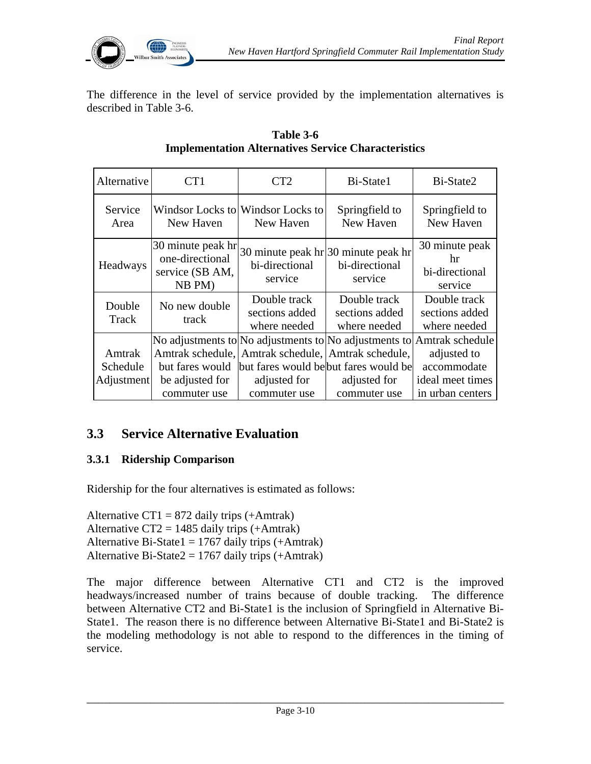

The difference in the level of service provided by the implementation alternatives is described in Table 3-6.

| Alternative                      | CT <sub>1</sub>                                                   | CT2                                                                                                                                                                                                  | Bi-State1                                                           | Bi-State2                                                          |
|----------------------------------|-------------------------------------------------------------------|------------------------------------------------------------------------------------------------------------------------------------------------------------------------------------------------------|---------------------------------------------------------------------|--------------------------------------------------------------------|
| Service<br>Area                  | New Haven                                                         | Windsor Locks to Windsor Locks to<br>New Haven                                                                                                                                                       | Springfield to<br>New Haven                                         | Springfield to<br>New Haven                                        |
| Headways                         | 30 minute peak hr<br>one-directional<br>service (SB AM,<br>NB PM) | bi-directional<br>service                                                                                                                                                                            | 30 minute peak $\ln 30$ minute peak hr<br>bi-directional<br>service | 30 minute peak<br>hr<br>bi-directional<br>service                  |
| Double<br>Track                  | No new double<br>track                                            | Double track<br>sections added<br>where needed                                                                                                                                                       | Double track<br>sections added<br>where needed                      | Double track<br>sections added<br>where needed                     |
| Amtrak<br>Schedule<br>Adjustment | but fares would<br>be adjusted for<br>commuter use                | No adjustments to No adjustments to No adjustments to Amtrak schedule<br>Amtrak schedule, Amtrak schedule, Amtrak schedule,<br>but fares would be but fares would be<br>adjusted for<br>commuter use | adjusted for<br>commuter use                                        | adjusted to<br>accommodate<br>ideal meet times<br>in urban centers |

#### **Table 3-6 Implementation Alternatives Service Characteristics**

# **3.3 Service Alternative Evaluation**

### **3.3.1 Ridership Comparison**

Ridership for the four alternatives is estimated as follows:

Alternative CT1 =  $872$  daily trips (+Amtrak) Alternative  $CT2 = 1485$  daily trips (+Amtrak) Alternative Bi-State1 =  $1767$  daily trips (+Amtrak) Alternative Bi-State $2 = 1767$  daily trips (+Amtrak)

The major difference between Alternative CT1 and CT2 is the improved headways/increased number of trains because of double tracking. The difference between Alternative CT2 and Bi-State1 is the inclusion of Springfield in Alternative Bi-State1. The reason there is no difference between Alternative Bi-State1 and Bi-State2 is the modeling methodology is not able to respond to the differences in the timing of service.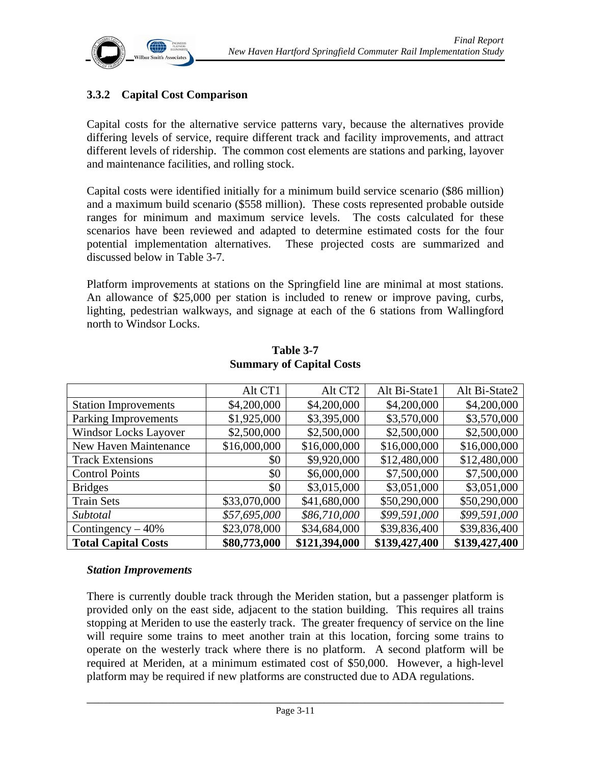

### **3.3.2 Capital Cost Comparison**

Capital costs for the alternative service patterns vary, because the alternatives provide differing levels of service, require different track and facility improvements, and attract different levels of ridership. The common cost elements are stations and parking, layover and maintenance facilities, and rolling stock.

Capital costs were identified initially for a minimum build service scenario (\$86 million) and a maximum build scenario (\$558 million). These costs represented probable outside ranges for minimum and maximum service levels. The costs calculated for these scenarios have been reviewed and adapted to determine estimated costs for the four potential implementation alternatives. These projected costs are summarized and discussed below in Table 3-7.

Platform improvements at stations on the Springfield line are minimal at most stations. An allowance of \$25,000 per station is included to renew or improve paving, curbs, lighting, pedestrian walkways, and signage at each of the 6 stations from Wallingford north to Windsor Locks.

|                              | Alt CT1      | Alt CT <sub>2</sub> | Alt Bi-State1 | Alt Bi-State2 |
|------------------------------|--------------|---------------------|---------------|---------------|
| <b>Station Improvements</b>  | \$4,200,000  | \$4,200,000         | \$4,200,000   | \$4,200,000   |
| Parking Improvements         | \$1,925,000  | \$3,395,000         | \$3,570,000   | \$3,570,000   |
| <b>Windsor Locks Layover</b> | \$2,500,000  | \$2,500,000         | \$2,500,000   | \$2,500,000   |
| <b>New Haven Maintenance</b> | \$16,000,000 | \$16,000,000        | \$16,000,000  | \$16,000,000  |
| <b>Track Extensions</b>      | \$0          | \$9,920,000         | \$12,480,000  | \$12,480,000  |
| <b>Control Points</b>        | \$0          | \$6,000,000         | \$7,500,000   | \$7,500,000   |
| <b>Bridges</b>               | \$0          | \$3,015,000         | \$3,051,000   | \$3,051,000   |
| <b>Train Sets</b>            | \$33,070,000 | \$41,680,000        | \$50,290,000  | \$50,290,000  |
| Subtotal                     | \$57,695,000 | \$86,710,000        | \$99,591,000  | \$99,591,000  |
| Contingency $-40\%$          | \$23,078,000 | \$34,684,000        | \$39,836,400  | \$39,836,400  |
| <b>Total Capital Costs</b>   | \$80,773,000 | \$121,394,000       | \$139,427,400 | \$139,427,400 |

#### **Table 3-7 Summary of Capital Costs**

#### *Station Improvements*

There is currently double track through the Meriden station, but a passenger platform is provided only on the east side, adjacent to the station building. This requires all trains stopping at Meriden to use the easterly track. The greater frequency of service on the line will require some trains to meet another train at this location, forcing some trains to operate on the westerly track where there is no platform. A second platform will be required at Meriden, at a minimum estimated cost of \$50,000. However, a high-level platform may be required if new platforms are constructed due to ADA regulations.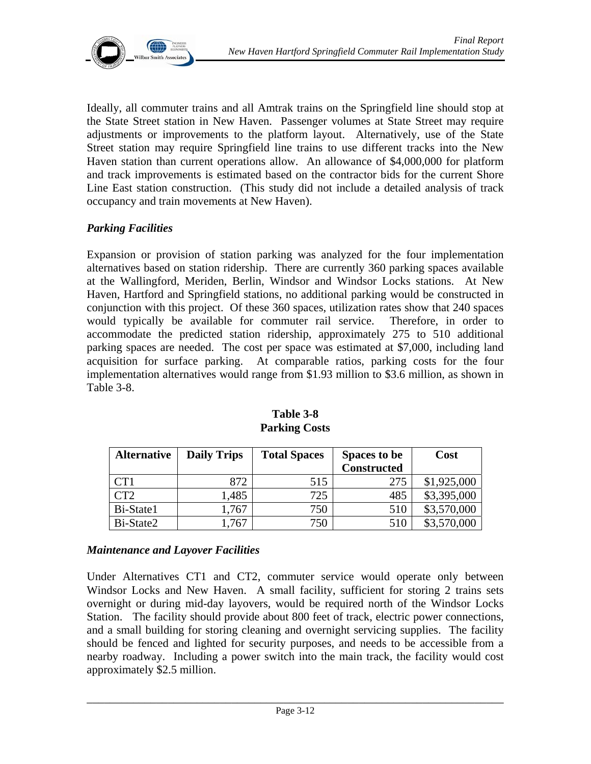

Ideally, all commuter trains and all Amtrak trains on the Springfield line should stop at the State Street station in New Haven. Passenger volumes at State Street may require adjustments or improvements to the platform layout. Alternatively, use of the State Street station may require Springfield line trains to use different tracks into the New Haven station than current operations allow. An allowance of \$4,000,000 for platform and track improvements is estimated based on the contractor bids for the current Shore Line East station construction. (This study did not include a detailed analysis of track occupancy and train movements at New Haven).

#### *Parking Facilities*

Expansion or provision of station parking was analyzed for the four implementation alternatives based on station ridership. There are currently 360 parking spaces available at the Wallingford, Meriden, Berlin, Windsor and Windsor Locks stations. At New Haven, Hartford and Springfield stations, no additional parking would be constructed in conjunction with this project. Of these 360 spaces, utilization rates show that 240 spaces would typically be available for commuter rail service. Therefore, in order to accommodate the predicted station ridership, approximately 275 to 510 additional parking spaces are needed. The cost per space was estimated at \$7,000, including land acquisition for surface parking. At comparable ratios, parking costs for the four implementation alternatives would range from \$1.93 million to \$3.6 million, as shown in Table 3-8.

| <b>Alternative</b> | <b>Daily Trips</b> | <b>Total Spaces</b> | <b>Spaces to be</b><br><b>Constructed</b> | Cost        |
|--------------------|--------------------|---------------------|-------------------------------------------|-------------|
| CT1                | 872                | 515                 | 275                                       | \$1,925,000 |
| CT2                | 1,485              | 725                 | 485                                       | \$3,395,000 |
| Bi-State1          | 1,767              | 750                 | 510                                       | \$3,570,000 |
| Bi-State2          | 1,767              | 750                 | 510                                       | \$3,570,000 |

**Table 3-8 Parking Costs** 

#### *Maintenance and Layover Facilities*

Under Alternatives CT1 and CT2, commuter service would operate only between Windsor Locks and New Haven. A small facility, sufficient for storing 2 trains sets overnight or during mid-day layovers, would be required north of the Windsor Locks Station. The facility should provide about 800 feet of track, electric power connections, and a small building for storing cleaning and overnight servicing supplies. The facility should be fenced and lighted for security purposes, and needs to be accessible from a nearby roadway. Including a power switch into the main track, the facility would cost approximately \$2.5 million.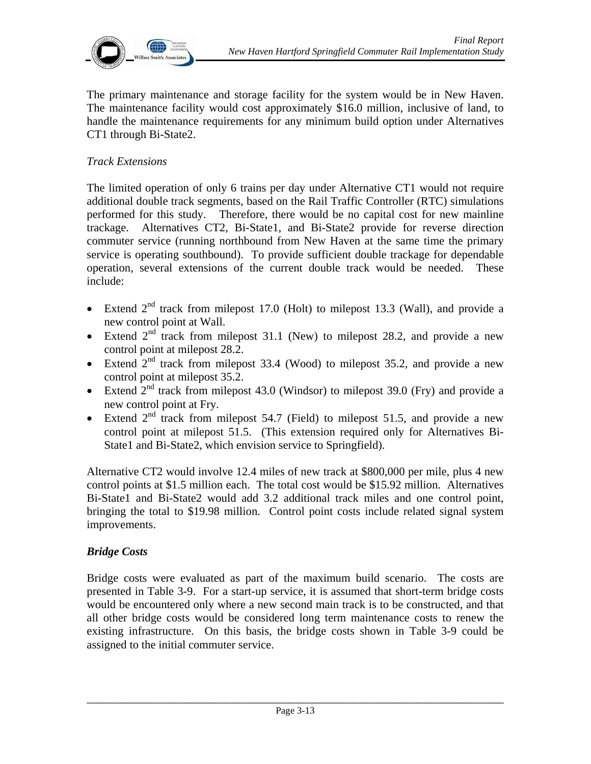

The primary maintenance and storage facility for the system would be in New Haven. The maintenance facility would cost approximately \$16.0 million, inclusive of land, to handle the maintenance requirements for any minimum build option under Alternatives CT1 through Bi-State2.

#### *Track Extensions*

The limited operation of only 6 trains per day under Alternative CT1 would not require additional double track segments, based on the Rail Traffic Controller (RTC) simulations performed for this study. Therefore, there would be no capital cost for new mainline trackage. Alternatives CT2, Bi-State1, and Bi-State2 provide for reverse direction commuter service (running northbound from New Haven at the same time the primary service is operating southbound). To provide sufficient double trackage for dependable operation, several extensions of the current double track would be needed. These include:

- Extend  $2<sup>nd</sup>$  track from milepost 17.0 (Holt) to milepost 13.3 (Wall), and provide a new control point at Wall.
- Extend  $2<sup>nd</sup>$  track from milepost 31.1 (New) to milepost 28.2, and provide a new control point at milepost 28.2.
- Extend  $2^{nd}$  track from milepost 33.4 (Wood) to milepost 35.2, and provide a new control point at milepost 35.2.
- Extend  $2<sup>nd</sup>$  track from milepost 43.0 (Windsor) to milepost 39.0 (Fry) and provide a new control point at Fry.
- Extend  $2<sup>nd</sup>$  track from milepost 54.7 (Field) to milepost 51.5, and provide a new control point at milepost 51.5. (This extension required only for Alternatives Bi-State1 and Bi-State2, which envision service to Springfield).

Alternative CT2 would involve 12.4 miles of new track at \$800,000 per mile, plus 4 new control points at \$1.5 million each. The total cost would be \$15.92 million. Alternatives Bi-State1 and Bi-State2 would add 3.2 additional track miles and one control point, bringing the total to \$19.98 million. Control point costs include related signal system improvements.

#### *Bridge Costs*

Bridge costs were evaluated as part of the maximum build scenario. The costs are presented in Table 3-9. For a start-up service, it is assumed that short-term bridge costs would be encountered only where a new second main track is to be constructed, and that all other bridge costs would be considered long term maintenance costs to renew the existing infrastructure. On this basis, the bridge costs shown in Table 3-9 could be assigned to the initial commuter service.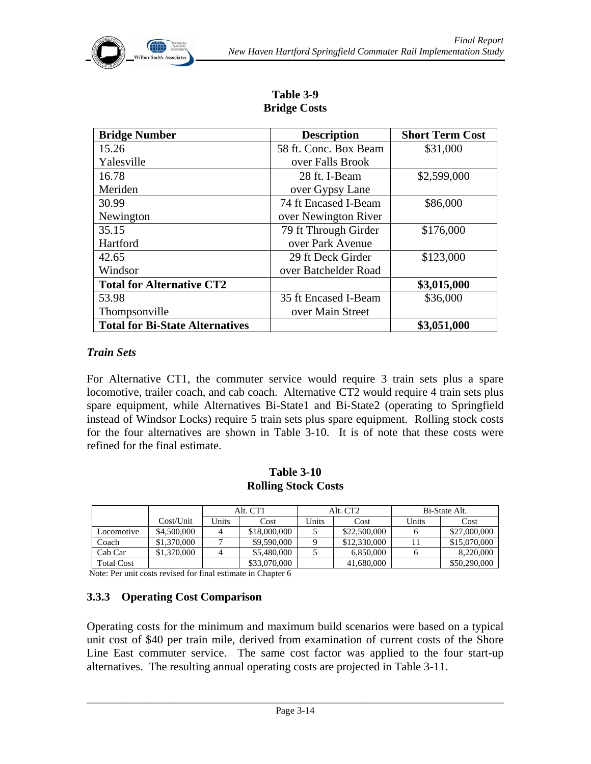## **Table 3-9 Bridge Costs**

| <b>Bridge Number</b>                   | <b>Description</b>    | <b>Short Term Cost</b> |  |
|----------------------------------------|-----------------------|------------------------|--|
| 15.26                                  | 58 ft. Conc. Box Beam | \$31,000               |  |
| Yalesville                             | over Falls Brook      |                        |  |
| 16.78                                  | 28 ft. I-Beam         | \$2,599,000            |  |
| Meriden                                | over Gypsy Lane       |                        |  |
| 30.99                                  | 74 ft Encased I-Beam  | \$86,000               |  |
| Newington                              | over Newington River  |                        |  |
| 35.15                                  | 79 ft Through Girder  | \$176,000              |  |
| Hartford                               | over Park Avenue      |                        |  |
| 42.65                                  | 29 ft Deck Girder     | \$123,000              |  |
| Windsor                                | over Batchelder Road  |                        |  |
| <b>Total for Alternative CT2</b>       |                       | \$3,015,000            |  |
| 53.98                                  | 35 ft Encased I-Beam  | \$36,000               |  |
| Thompsonville                          | over Main Street      |                        |  |
| <b>Total for Bi-State Alternatives</b> |                       | \$3,051,000            |  |

#### *Train Sets*

For Alternative CT1, the commuter service would require 3 train sets plus a spare locomotive, trailer coach, and cab coach. Alternative CT2 would require 4 train sets plus spare equipment, while Alternatives Bi-State1 and Bi-State2 (operating to Springfield instead of Windsor Locks) require 5 train sets plus spare equipment. Rolling stock costs for the four alternatives are shown in Table 3-10. It is of note that these costs were refined for the final estimate.

#### **Table 3-10 Rolling Stock Costs**

|                   |             | Alt. CT1 |              | Alt. CT <sub>2</sub> |              | Bi-State Alt. |              |
|-------------------|-------------|----------|--------------|----------------------|--------------|---------------|--------------|
|                   | Cost/Unit   | Jnits    | Cost         | <b>Jnits</b>         | Cost         | Units         | Cost         |
| Locomotive        | \$4,500,000 |          | \$18,000,000 |                      | \$22,500,000 |               | \$27,000,000 |
| Coach             | \$1,370,000 |          | \$9,590,000  |                      | \$12,330,000 |               | \$15,070,000 |
| Cab Car           | \$1,370,000 |          | \$5,480,000  |                      | 6.850,000    |               | 8.220.000    |
| <b>Total Cost</b> |             |          | \$33,070,000 |                      | 41,680,000   |               | \$50,290,000 |

Note: Per unit costs revised for final estimate in Chapter 6

### **3.3.3 Operating Cost Comparison**

Operating costs for the minimum and maximum build scenarios were based on a typical unit cost of \$40 per train mile, derived from examination of current costs of the Shore Line East commuter service. The same cost factor was applied to the four start-up alternatives. The resulting annual operating costs are projected in Table 3-11.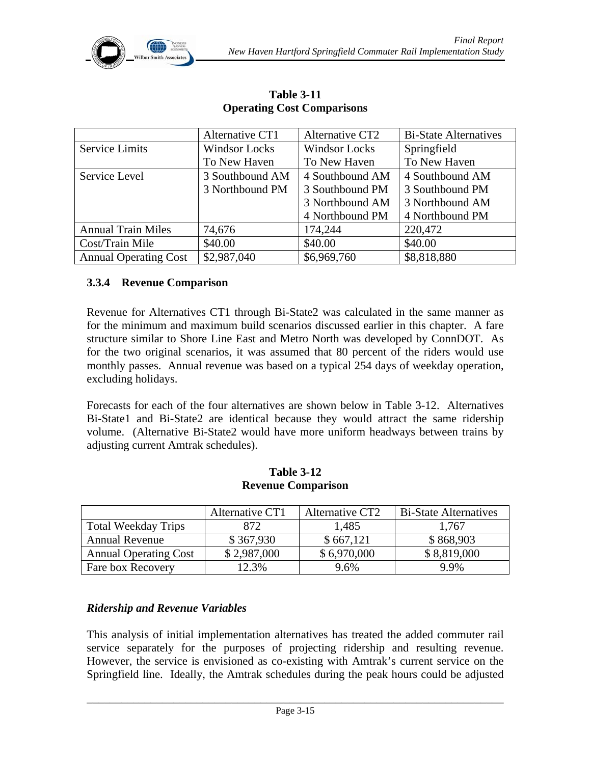

|                              | Alternative CT1      | Alternative CT2      | <b>Bi-State Alternatives</b> |
|------------------------------|----------------------|----------------------|------------------------------|
| <b>Service Limits</b>        | <b>Windsor Locks</b> | <b>Windsor Locks</b> | Springfield                  |
|                              | To New Haven         | To New Haven         | To New Haven                 |
| Service Level                | 3 Southbound AM      | 4 Southbound AM      | 4 Southbound AM              |
|                              | 3 Northbound PM      | 3 Southbound PM      | 3 Southbound PM              |
|                              |                      | 3 Northbound AM      | 3 Northbound AM              |
|                              |                      | 4 Northbound PM      | 4 Northbound PM              |
| <b>Annual Train Miles</b>    | 74,676               | 174,244              | 220,472                      |
| Cost/Train Mile              | \$40.00              | \$40.00              | \$40.00                      |
| <b>Annual Operating Cost</b> | \$2,987,040          | \$6,969,760          | \$8,818,880                  |

**Table 3-11 Operating Cost Comparisons** 

#### **3.3.4 Revenue Comparison**

Revenue for Alternatives CT1 through Bi-State2 was calculated in the same manner as for the minimum and maximum build scenarios discussed earlier in this chapter. A fare structure similar to Shore Line East and Metro North was developed by ConnDOT. As for the two original scenarios, it was assumed that 80 percent of the riders would use monthly passes. Annual revenue was based on a typical 254 days of weekday operation, excluding holidays.

Forecasts for each of the four alternatives are shown below in Table 3-12. Alternatives Bi-State1 and Bi-State2 are identical because they would attract the same ridership volume. (Alternative Bi-State2 would have more uniform headways between trains by adjusting current Amtrak schedules).

|                              | Alternative CT1 | Alternative CT2 | <b>Bi-State Alternatives</b> |
|------------------------------|-----------------|-----------------|------------------------------|
| <b>Total Weekday Trips</b>   | 872             | 1,485           | 1,767                        |
| <b>Annual Revenue</b>        | \$367,930       | \$667,121       | \$868,903                    |
| <b>Annual Operating Cost</b> | \$2,987,000     | \$6,970,000     | \$8,819,000                  |
| Fare box Recovery            | 12.3%           | 9.6%            | 9.9%                         |

**Table 3-12 Revenue Comparison** 

#### *Ridership and Revenue Variables*

This analysis of initial implementation alternatives has treated the added commuter rail service separately for the purposes of projecting ridership and resulting revenue. However, the service is envisioned as co-existing with Amtrak's current service on the Springfield line. Ideally, the Amtrak schedules during the peak hours could be adjusted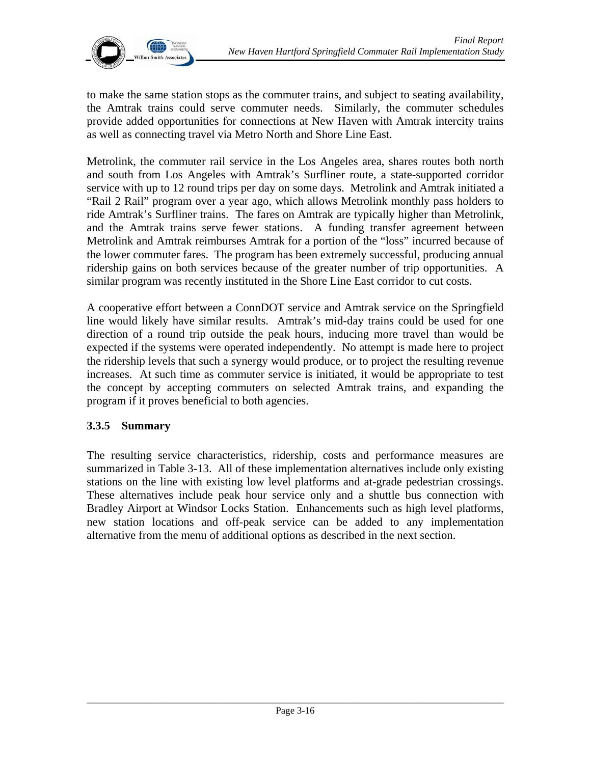

to make the same station stops as the commuter trains, and subject to seating availability, the Amtrak trains could serve commuter needs. Similarly, the commuter schedules provide added opportunities for connections at New Haven with Amtrak intercity trains as well as connecting travel via Metro North and Shore Line East.

Metrolink, the commuter rail service in the Los Angeles area, shares routes both north and south from Los Angeles with Amtrak's Surfliner route, a state-supported corridor service with up to 12 round trips per day on some days. Metrolink and Amtrak initiated a "Rail 2 Rail" program over a year ago, which allows Metrolink monthly pass holders to ride Amtrak's Surfliner trains. The fares on Amtrak are typically higher than Metrolink, and the Amtrak trains serve fewer stations. A funding transfer agreement between Metrolink and Amtrak reimburses Amtrak for a portion of the "loss" incurred because of the lower commuter fares. The program has been extremely successful, producing annual ridership gains on both services because of the greater number of trip opportunities. A similar program was recently instituted in the Shore Line East corridor to cut costs.

A cooperative effort between a ConnDOT service and Amtrak service on the Springfield line would likely have similar results. Amtrak's mid-day trains could be used for one direction of a round trip outside the peak hours, inducing more travel than would be expected if the systems were operated independently. No attempt is made here to project the ridership levels that such a synergy would produce, or to project the resulting revenue increases. At such time as commuter service is initiated, it would be appropriate to test the concept by accepting commuters on selected Amtrak trains, and expanding the program if it proves beneficial to both agencies.

#### **3.3.5 Summary**

The resulting service characteristics, ridership, costs and performance measures are summarized in Table 3-13. All of these implementation alternatives include only existing stations on the line with existing low level platforms and at-grade pedestrian crossings. These alternatives include peak hour service only and a shuttle bus connection with Bradley Airport at Windsor Locks Station. Enhancements such as high level platforms, new station locations and off-peak service can be added to any implementation alternative from the menu of additional options as described in the next section.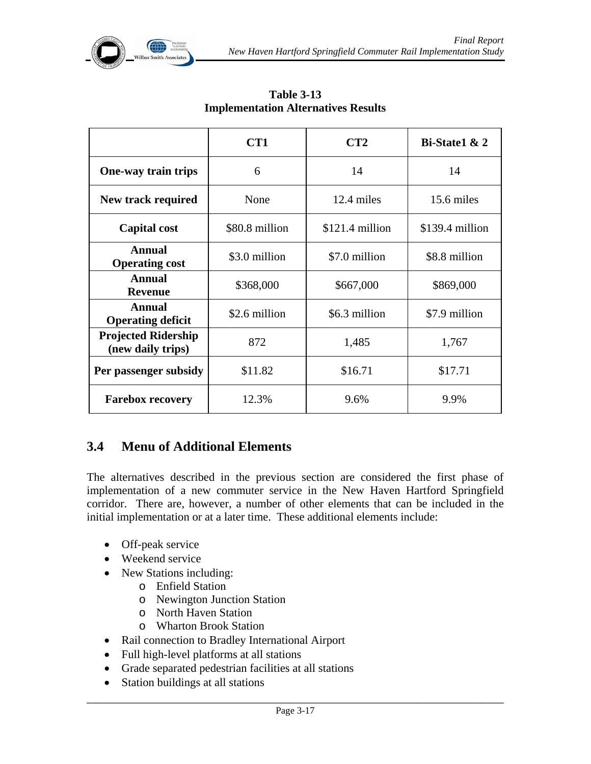

|                                                 | CT <sub>1</sub> | CT2              | Bi-State1 & 2    |
|-------------------------------------------------|-----------------|------------------|------------------|
| One-way train trips                             | 6               |                  | 14               |
| New track required                              | None            | 12.4 miles       | 15.6 miles       |
| <b>Capital cost</b>                             | \$80.8 million  | $$121.4$ million | $$139.4$ million |
| <b>Annual</b><br><b>Operating cost</b>          | \$3.0 million   | \$7.0 million    | \$8.8 million    |
| <b>Annual</b><br><b>Revenue</b>                 | \$368,000       | \$667,000        | \$869,000        |
| <b>Annual</b><br><b>Operating deficit</b>       | \$2.6 million   | \$6.3 million    | \$7.9 million    |
| <b>Projected Ridership</b><br>(new daily trips) | 872             | 1,485            | 1,767            |
| Per passenger subsidy                           | \$11.82         | \$16.71          | \$17.71          |
| <b>Farebox recovery</b>                         | 12.3%           | 9.6%             | 9.9%             |

**Table 3-13 Implementation Alternatives Results** 

# **3.4 Menu of Additional Elements**

The alternatives described in the previous section are considered the first phase of implementation of a new commuter service in the New Haven Hartford Springfield corridor. There are, however, a number of other elements that can be included in the initial implementation or at a later time. These additional elements include:

- Off-peak service
- Weekend service
- New Stations including:
	- o Enfield Station
	- o Newington Junction Station
	- o North Haven Station
	- o Wharton Brook Station
- Rail connection to Bradley International Airport
- Full high-level platforms at all stations
- Grade separated pedestrian facilities at all stations
- Station buildings at all stations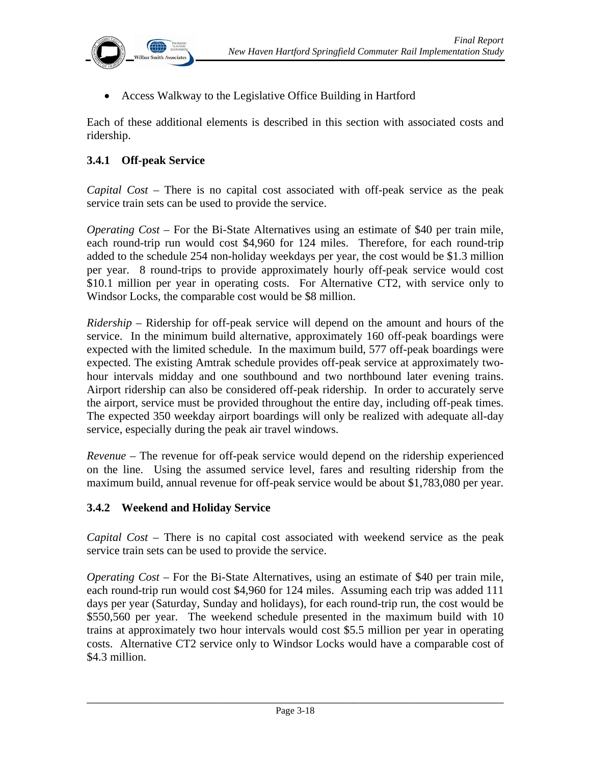

• Access Walkway to the Legislative Office Building in Hartford

Each of these additional elements is described in this section with associated costs and ridership.

#### **3.4.1 Off-peak Service**

*Capital Cost* – There is no capital cost associated with off-peak service as the peak service train sets can be used to provide the service.

*Operating Cost* – For the Bi-State Alternatives using an estimate of \$40 per train mile, each round-trip run would cost \$4,960 for 124 miles. Therefore, for each round-trip added to the schedule 254 non-holiday weekdays per year, the cost would be \$1.3 million per year. 8 round-trips to provide approximately hourly off-peak service would cost \$10.1 million per year in operating costs. For Alternative CT2, with service only to Windsor Locks, the comparable cost would be \$8 million.

*Ridership* – Ridership for off-peak service will depend on the amount and hours of the service. In the minimum build alternative, approximately 160 off-peak boardings were expected with the limited schedule. In the maximum build, 577 off-peak boardings were expected. The existing Amtrak schedule provides off-peak service at approximately twohour intervals midday and one southbound and two northbound later evening trains. Airport ridership can also be considered off-peak ridership. In order to accurately serve the airport, service must be provided throughout the entire day, including off-peak times. The expected 350 weekday airport boardings will only be realized with adequate all-day service, especially during the peak air travel windows.

*Revenue* – The revenue for off-peak service would depend on the ridership experienced on the line. Using the assumed service level, fares and resulting ridership from the maximum build, annual revenue for off-peak service would be about \$1,783,080 per year.

#### **3.4.2 Weekend and Holiday Service**

*Capital Cost* – There is no capital cost associated with weekend service as the peak service train sets can be used to provide the service.

*Operating Cost* – For the Bi-State Alternatives, using an estimate of \$40 per train mile, each round-trip run would cost \$4,960 for 124 miles. Assuming each trip was added 111 days per year (Saturday, Sunday and holidays), for each round-trip run, the cost would be \$550,560 per year. The weekend schedule presented in the maximum build with 10 trains at approximately two hour intervals would cost \$5.5 million per year in operating costs. Alternative CT2 service only to Windsor Locks would have a comparable cost of \$4.3 million.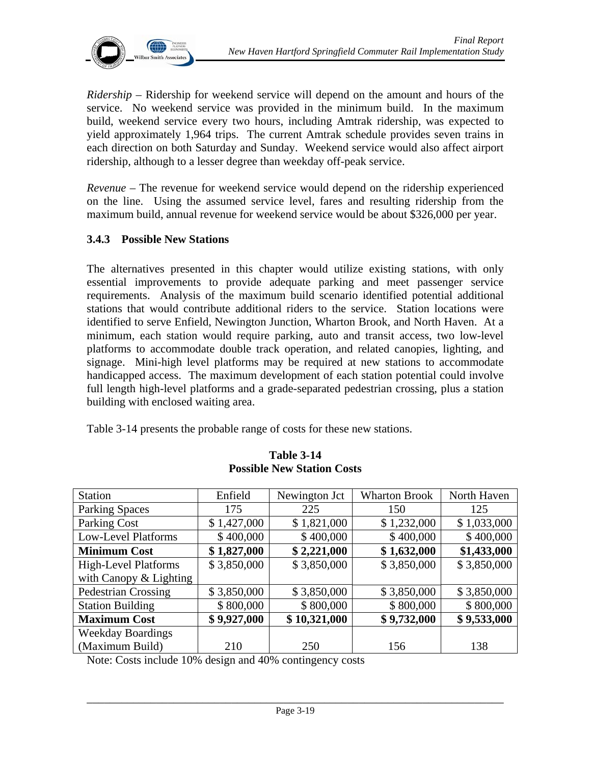

*Ridership* – Ridership for weekend service will depend on the amount and hours of the service. No weekend service was provided in the minimum build. In the maximum build, weekend service every two hours, including Amtrak ridership, was expected to yield approximately 1,964 trips. The current Amtrak schedule provides seven trains in each direction on both Saturday and Sunday. Weekend service would also affect airport ridership, although to a lesser degree than weekday off-peak service.

*Revenue* – The revenue for weekend service would depend on the ridership experienced on the line. Using the assumed service level, fares and resulting ridership from the maximum build, annual revenue for weekend service would be about \$326,000 per year.

#### **3.4.3 Possible New Stations**

The alternatives presented in this chapter would utilize existing stations, with only essential improvements to provide adequate parking and meet passenger service requirements. Analysis of the maximum build scenario identified potential additional stations that would contribute additional riders to the service. Station locations were identified to serve Enfield, Newington Junction, Wharton Brook, and North Haven. At a minimum, each station would require parking, auto and transit access, two low-level platforms to accommodate double track operation, and related canopies, lighting, and signage. Mini-high level platforms may be required at new stations to accommodate handicapped access. The maximum development of each station potential could involve full length high-level platforms and a grade-separated pedestrian crossing, plus a station building with enclosed waiting area.

Table 3-14 presents the probable range of costs for these new stations.

| <b>Station</b>              | Enfield     | Newington Jct | <b>Wharton Brook</b> | North Haven |
|-----------------------------|-------------|---------------|----------------------|-------------|
|                             |             |               |                      |             |
| <b>Parking Spaces</b>       | 175         | 225           | 150                  | 125         |
| Parking Cost                | \$1,427,000 | \$1,821,000   | \$1,232,000          | \$1,033,000 |
| <b>Low-Level Platforms</b>  | \$400,000   | \$400,000     | \$400,000            | \$400,000   |
| <b>Minimum Cost</b>         | \$1,827,000 | \$2,221,000   | \$1,632,000          | \$1,433,000 |
| <b>High-Level Platforms</b> | \$3,850,000 | \$3,850,000   | \$3,850,000          | \$3,850,000 |
| with Canopy $&$ Lighting    |             |               |                      |             |
| <b>Pedestrian Crossing</b>  | \$3,850,000 | \$3,850,000   | \$3,850,000          | \$3,850,000 |
| <b>Station Building</b>     | \$800,000   | \$800,000     | \$800,000            | \$800,000   |
| <b>Maximum Cost</b>         | \$9,927,000 | \$10,321,000  | \$9,732,000          | \$9,533,000 |
| <b>Weekday Boardings</b>    |             |               |                      |             |
| (Maximum Build)             | 210         | 250           | 156                  | 138         |

#### **Table 3-14 Possible New Station Costs**

Note: Costs include 10% design and 40% contingency costs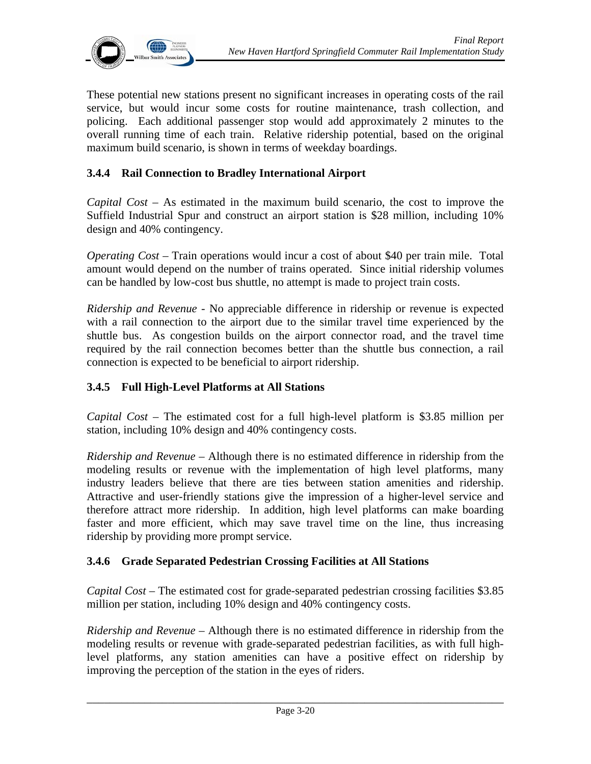

These potential new stations present no significant increases in operating costs of the rail service, but would incur some costs for routine maintenance, trash collection, and policing. Each additional passenger stop would add approximately 2 minutes to the overall running time of each train. Relative ridership potential, based on the original maximum build scenario, is shown in terms of weekday boardings.

#### **3.4.4 Rail Connection to Bradley International Airport**

*Capital Cost* – As estimated in the maximum build scenario, the cost to improve the Suffield Industrial Spur and construct an airport station is \$28 million, including 10% design and 40% contingency.

*Operating Cost –* Train operations would incur a cost of about \$40 per train mile. Total amount would depend on the number of trains operated. Since initial ridership volumes can be handled by low-cost bus shuttle, no attempt is made to project train costs.

*Ridership and Revenue* - No appreciable difference in ridership or revenue is expected with a rail connection to the airport due to the similar travel time experienced by the shuttle bus. As congestion builds on the airport connector road, and the travel time required by the rail connection becomes better than the shuttle bus connection, a rail connection is expected to be beneficial to airport ridership.

#### **3.4.5 Full High-Level Platforms at All Stations**

*Capital Cost* – The estimated cost for a full high-level platform is \$3.85 million per station, including 10% design and 40% contingency costs.

*Ridership and Revenue* – Although there is no estimated difference in ridership from the modeling results or revenue with the implementation of high level platforms, many industry leaders believe that there are ties between station amenities and ridership. Attractive and user-friendly stations give the impression of a higher-level service and therefore attract more ridership. In addition, high level platforms can make boarding faster and more efficient, which may save travel time on the line, thus increasing ridership by providing more prompt service.

#### **3.4.6 Grade Separated Pedestrian Crossing Facilities at All Stations**

*Capital Cost* – The estimated cost for grade-separated pedestrian crossing facilities \$3.85 million per station, including 10% design and 40% contingency costs.

*Ridership and Revenue* – Although there is no estimated difference in ridership from the modeling results or revenue with grade-separated pedestrian facilities, as with full highlevel platforms, any station amenities can have a positive effect on ridership by improving the perception of the station in the eyes of riders.